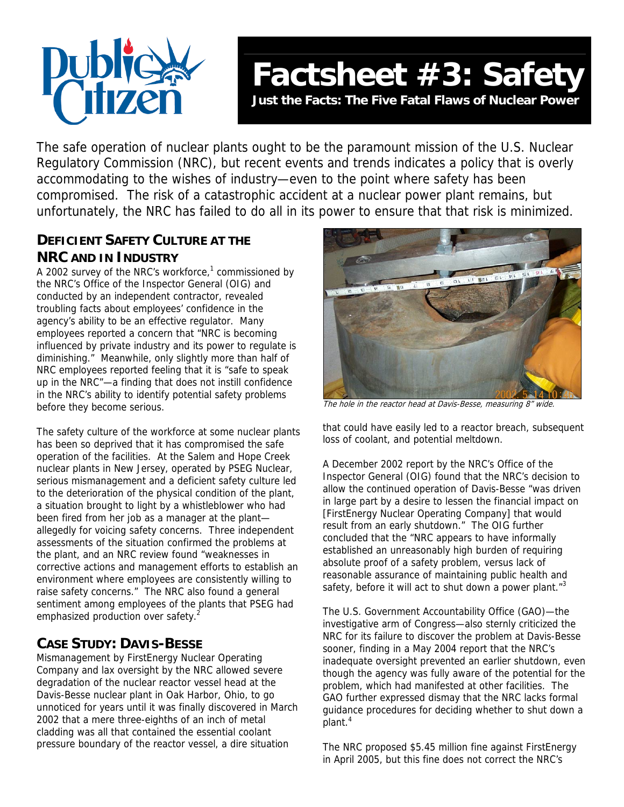

# **Factsheet #3: Safety**

**Just the Facts: The Five Fatal Flaws of Nuclear Power** 

The safe operation of nuclear plants ought to be the paramount mission of the U.S. Nuclear Regulatory Commission (NRC), but recent events and trends indicates a policy that is overly accommodating to the wishes of industry—even to the point where safety has been compromised. The risk of a catastrophic accident at a nuclear power plant remains, but unfortunately, the NRC has failed to do all in its power to ensure that that risk is minimized.

## **DEFICIENT SAFETY CULTURE AT THE NRC AND IN INDUSTRY**

A 2002 survey of the NRC's workforce,<sup>1</sup> commissioned by the NRC's Office of the Inspector General (OIG) and conducted by an independent contractor, revealed troubling facts about employees' confidence in the agency's ability to be an effective regulator. Many employees reported a concern that "NRC is becoming influenced by private industry and its power to regulate is diminishing." Meanwhile, only slightly more than half of NRC employees reported feeling that it is "safe to speak up in the NRC"—a finding that does not instill confidence in the NRC's ability to identify potential safety problems before they become serious.

The safety culture of the workforce at some nuclear plants has been so deprived that it has compromised the safe operation of the facilities. At the Salem and Hope Creek nuclear plants in New Jersey, operated by PSEG Nuclear, serious mismanagement and a deficient safety culture led to the deterioration of the physical condition of the plant, a situation brought to light by a whistleblower who had been fired from her job as a manager at the plant allegedly for voicing safety concerns. Three independent assessments of the situation confirmed the problems at the plant, and an NRC review found "weaknesses in corrective actions and management efforts to establish an environment where employees are consistently willing to raise safety concerns." The NRC also found a general sentiment among employees of the plants that PSEG had emphasized production over safety.<sup>[2](#page-1-1)</sup>

# **CASE STUDY: DAVIS-BESSE**

Mismanagement by FirstEnergy Nuclear Operating Company and lax oversight by the NRC allowed severe degradation of the nuclear reactor vessel head at the Davis-Besse nuclear plant in Oak Harbor, Ohio, to go unnoticed for years until it was finally discovered in March 2002 that a mere three-eighths of an inch of metal cladding was all that contained the essential coolant pressure boundary of the reactor vessel, a dire situation



The hole in the reactor head at Davis-Besse, measuring 8" wide.

that could have easily led to a reactor breach, subsequent loss of coolant, and potential meltdown.

A December 2002 report by the NRC's Office of the Inspector General (OIG) found that the NRC's decision to allow the continued operation of Davis-Besse "was driven in large part by a desire to lessen the financial impact on [FirstEnergy Nuclear Operating Company] that would result from an early shutdown." The OIG further concluded that the "NRC appears to have informally established an unreasonably high burden of requiring absolute proof of a safety problem, versus lack of reasonable assurance of maintaining public health and safety, before it will act to shut down a power plant. $13$ 

The U.S. Government Accountability Office (GAO)—the investigative arm of Congress—also sternly criticized the NRC for its failure to discover the problem at Davis-Besse sooner, finding in a May 2004 report that the NRC's inadequate oversight prevented an earlier shutdown, even though the agency was fully aware of the potential for the problem, which had manifested at other facilities. The GAO further expressed dismay that the NRC lacks formal guidance procedures for deciding whether to shut down a plant.<sup>4</sup>

The NRC proposed \$5.45 million fine against FirstEnergy in April 2005, but this fine does not correct the NRC's